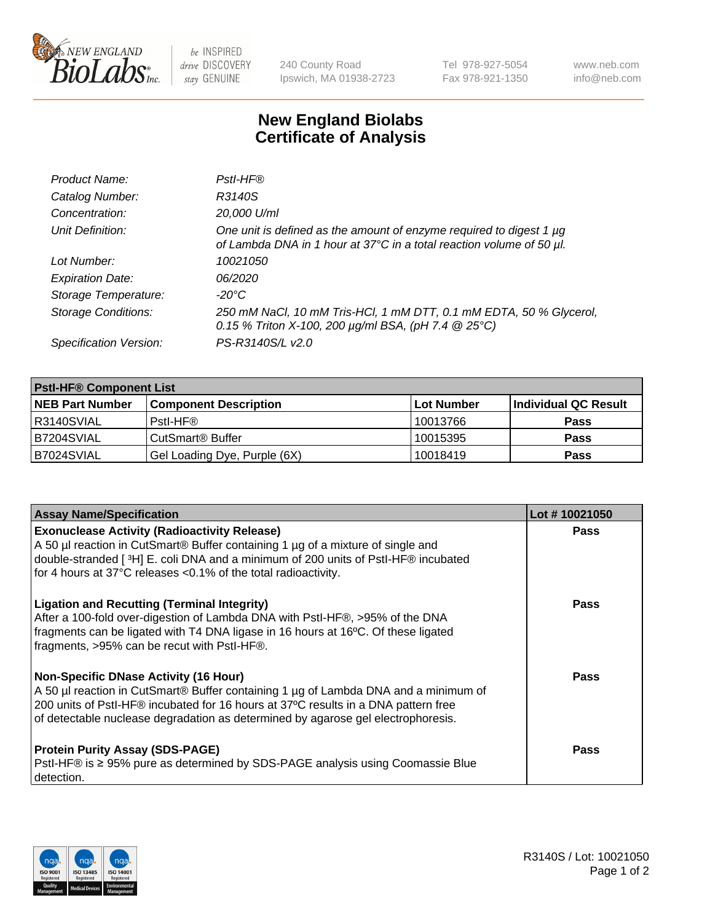

 $be$  INSPIRED drive DISCOVERY stay GENUINE

240 County Road Ipswich, MA 01938-2723 Tel 978-927-5054 Fax 978-921-1350 www.neb.com info@neb.com

## **New England Biolabs Certificate of Analysis**

| Product Name:              | Pstl-HF®                                                                                                                                             |
|----------------------------|------------------------------------------------------------------------------------------------------------------------------------------------------|
| Catalog Number:            | R3140S                                                                                                                                               |
| Concentration:             | 20,000 U/ml                                                                                                                                          |
| Unit Definition:           | One unit is defined as the amount of enzyme required to digest 1 µg<br>of Lambda DNA in 1 hour at 37°C in a total reaction volume of 50 µl.          |
| Lot Number:                | 10021050                                                                                                                                             |
| <b>Expiration Date:</b>    | 06/2020                                                                                                                                              |
| Storage Temperature:       | -20°C                                                                                                                                                |
| <b>Storage Conditions:</b> | 250 mM NaCl, 10 mM Tris-HCl, 1 mM DTT, 0.1 mM EDTA, 50 % Glycerol,<br>0.15 % Triton X-100, 200 $\mu$ g/ml BSA, (pH 7.4 $\textcircled{25}^{\circ}$ C) |
| Specification Version:     | PS-R3140S/L v2.0                                                                                                                                     |

| <b>PstI-HF® Component List</b> |                              |            |                      |  |
|--------------------------------|------------------------------|------------|----------------------|--|
| <b>NEB Part Number</b>         | <b>Component Description</b> | Lot Number | Individual QC Result |  |
| R3140SVIAL                     | Pstl-HF®                     | 10013766   | <b>Pass</b>          |  |
| <b>B7204SVIAL</b>              | CutSmart® Buffer             | 10015395   | <b>Pass</b>          |  |
| B7024SVIAL                     | Gel Loading Dye, Purple (6X) | 10018419   | <b>Pass</b>          |  |

| <b>Assay Name/Specification</b>                                                                                                                                                                                                                                                                               | Lot #10021050 |
|---------------------------------------------------------------------------------------------------------------------------------------------------------------------------------------------------------------------------------------------------------------------------------------------------------------|---------------|
| <b>Exonuclease Activity (Radioactivity Release)</b><br>A 50 µl reaction in CutSmart® Buffer containing 1 µg of a mixture of single and                                                                                                                                                                        | <b>Pass</b>   |
| double-stranded [3H] E. coli DNA and a minimum of 200 units of PstI-HF® incubated<br>for 4 hours at 37°C releases <0.1% of the total radioactivity.                                                                                                                                                           |               |
| <b>Ligation and Recutting (Terminal Integrity)</b><br>After a 100-fold over-digestion of Lambda DNA with PstI-HF®, >95% of the DNA<br>fragments can be ligated with T4 DNA ligase in 16 hours at 16°C. Of these ligated<br>fragments, >95% can be recut with PstI-HF®.                                        | Pass          |
| <b>Non-Specific DNase Activity (16 Hour)</b><br>A 50 µl reaction in CutSmart® Buffer containing 1 µg of Lambda DNA and a minimum of<br>200 units of PstI-HF® incubated for 16 hours at 37°C results in a DNA pattern free<br>of detectable nuclease degradation as determined by agarose gel electrophoresis. | <b>Pass</b>   |
| <b>Protein Purity Assay (SDS-PAGE)</b><br>PstI-HF® is ≥ 95% pure as determined by SDS-PAGE analysis using Coomassie Blue<br>I detection.                                                                                                                                                                      | Pass          |